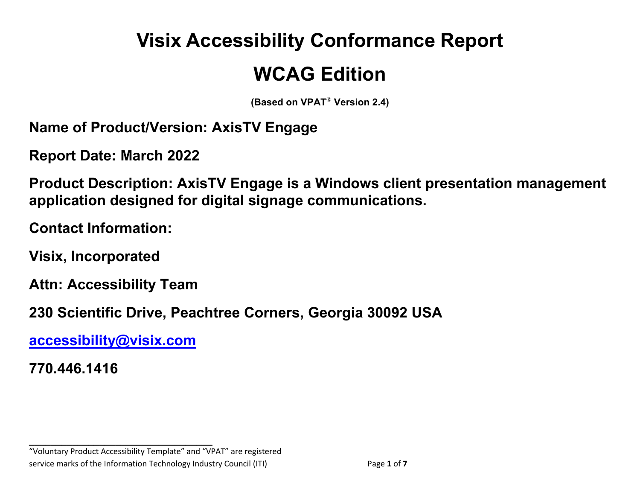# **Visix Accessibility Conformance Report**

# **WCAG Edition**

**(Based on VPAT**® **Version 2.4)**

**Name of Product/Version: AxisTV Engage**

**Report Date: March 2022**

**Product Description: AxisTV Engage is a Windows client presentation management application designed for digital signage communications.** 

**Contact Information:** 

**Visix, Incorporated**

**Attn: Accessibility Team**

**230 Scientific Drive, Peachtree Corners, Georgia 30092 USA**

**[accessibility@visix.com](mailto:accessibility@visix.com)**

**770.446.1416**

**\_\_\_\_\_\_\_\_\_\_\_\_\_\_\_\_\_\_\_\_\_\_\_\_\_\_\_\_\_\_\_\_\_\_** "Voluntary Product Accessibility Template" and "VPAT" are registered service marks of the Information Technology Industry Council (ITI) Page **1** of **7**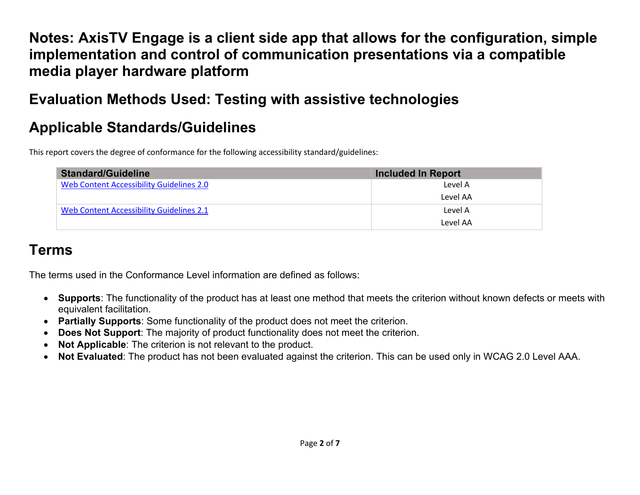**Notes: AxisTV Engage is a client side app that allows for the configuration, simple implementation and control of communication presentations via a compatible media player hardware platform**

## **Evaluation Methods Used: Testing with assistive technologies**

# **Applicable Standards/Guidelines**

This report covers the degree of conformance for the following accessibility standard/guidelines:

| <b>Standard/Guideline</b>                | <b>Included In Report</b> |
|------------------------------------------|---------------------------|
| Web Content Accessibility Guidelines 2.0 | Level A                   |
|                                          | Level AA                  |
| Web Content Accessibility Guidelines 2.1 | Level A                   |
|                                          | Level AA                  |

#### **Terms**

The terms used in the Conformance Level information are defined as follows:

- **Supports**: The functionality of the product has at least one method that meets the criterion without known defects or meets with equivalent facilitation.
- **Partially Supports**: Some functionality of the product does not meet the criterion.
- **Does Not Support:** The majority of product functionality does not meet the criterion.
- **Not Applicable**: The criterion is not relevant to the product.
- **Not Evaluated**: The product has not been evaluated against the criterion. This can be used only in WCAG 2.0 Level AAA.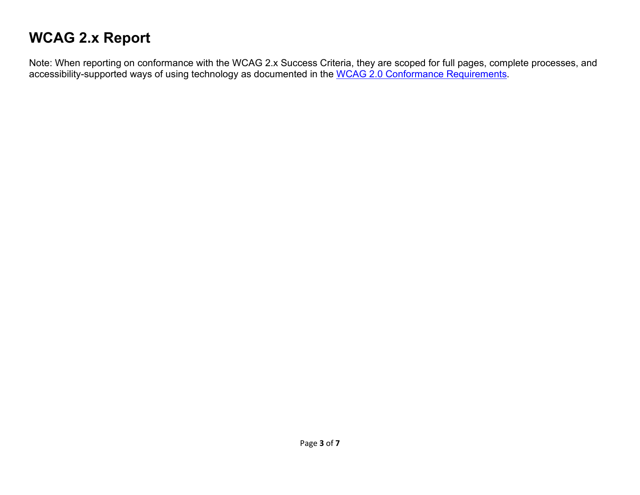# **WCAG 2.x Report**

Note: When reporting on conformance with the WCAG 2.x Success Criteria, they are scoped for full pages, complete processes, and accessibility-supported ways of using technology as documented in the [WCAG 2.0 Conformance Requirements.](https://www.w3.org/TR/WCAG20/#conformance-reqs)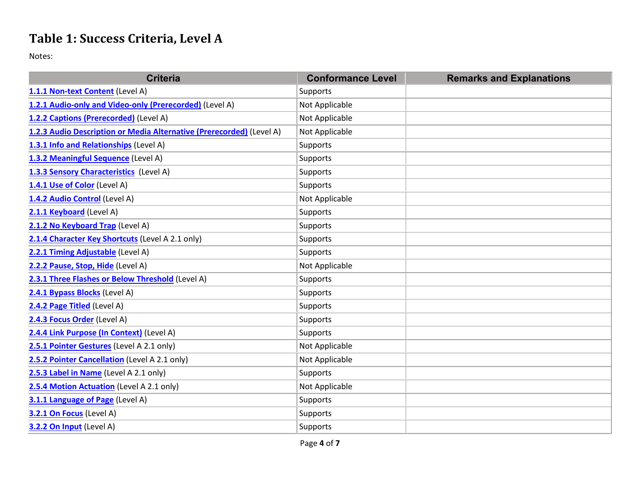#### **Table 1: Success Criteria, Level A**

Notes:

| <b>Criteria</b>                                                      | <b>Conformance Level</b> | <b>Remarks and Explanations</b> |
|----------------------------------------------------------------------|--------------------------|---------------------------------|
| 1.1.1 Non-text Content (Level A)                                     | Supports                 |                                 |
| 1.2.1 Audio-only and Video-only (Prerecorded) (Level A)              | Not Applicable           |                                 |
| 1.2.2 Captions (Prerecorded) (Level A)                               | Not Applicable           |                                 |
| 1.2.3 Audio Description or Media Alternative (Prerecorded) (Level A) | Not Applicable           |                                 |
| 1.3.1 Info and Relationships (Level A)                               | Supports                 |                                 |
| 1.3.2 Meaningful Sequence (Level A)                                  | Supports                 |                                 |
| 1.3.3 Sensory Characteristics (Level A)                              | Supports                 |                                 |
| 1.4.1 Use of Color (Level A)                                         | Supports                 |                                 |
| 1.4.2 Audio Control (Level A)                                        | Not Applicable           |                                 |
| 2.1.1 Keyboard (Level A)                                             | Supports                 |                                 |
| 2.1.2 No Keyboard Trap (Level A)                                     | Supports                 |                                 |
| 2.1.4 Character Key Shortcuts (Level A 2.1 only)                     | Supports                 |                                 |
| 2.2.1 Timing Adjustable (Level A)                                    | Supports                 |                                 |
| 2.2.2 Pause, Stop, Hide (Level A)                                    | Not Applicable           |                                 |
| 2.3.1 Three Flashes or Below Threshold (Level A)                     | <b>Supports</b>          |                                 |
| 2.4.1 Bypass Blocks (Level A)                                        | Supports                 |                                 |
| 2.4.2 Page Titled (Level A)                                          | Supports                 |                                 |
| 2.4.3 Focus Order (Level A)                                          | <b>Supports</b>          |                                 |
| 2.4.4 Link Purpose (In Context) (Level A)                            | <b>Supports</b>          |                                 |
| 2.5.1 Pointer Gestures (Level A 2.1 only)                            | Not Applicable           |                                 |
| 2.5.2 Pointer Cancellation (Level A 2.1 only)                        | Not Applicable           |                                 |
| 2.5.3 Label in Name (Level A 2.1 only)                               | Supports                 |                                 |
| 2.5.4 Motion Actuation (Level A 2.1 only)                            | Not Applicable           |                                 |
| 3.1.1 Language of Page (Level A)                                     | Supports                 |                                 |
| 3.2.1 On Focus (Level A)                                             | Supports                 |                                 |
| 3.2.2 On Input (Level A)                                             | Supports                 |                                 |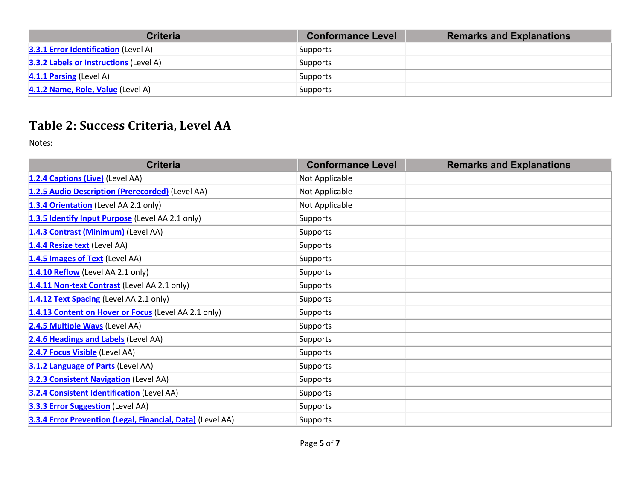| <b>Criteria</b>                               | <b>Conformance Level</b> | <b>Remarks and Explanations</b> |
|-----------------------------------------------|--------------------------|---------------------------------|
| <b>3.3.1 Error Identification (Level A)</b>   | Supports                 |                                 |
| <b>3.3.2 Labels or Instructions (Level A)</b> | Supports                 |                                 |
| <b>4.1.1 Parsing (Level A)</b>                | Supports                 |                                 |
| 4.1.2 Name, Role, Value (Level A)             | Supports                 |                                 |

#### **Table 2: Success Criteria, Level AA**

Notes:

| <b>Criteria</b>                                            | <b>Conformance Level</b> | <b>Remarks and Explanations</b> |
|------------------------------------------------------------|--------------------------|---------------------------------|
| 1.2.4 Captions (Live) (Level AA)                           | Not Applicable           |                                 |
| 1.2.5 Audio Description (Prerecorded) (Level AA)           | Not Applicable           |                                 |
| 1.3.4 Orientation (Level AA 2.1 only)                      | Not Applicable           |                                 |
| 1.3.5 Identify Input Purpose (Level AA 2.1 only)           | <b>Supports</b>          |                                 |
| 1.4.3 Contrast (Minimum) (Level AA)                        | <b>Supports</b>          |                                 |
| 1.4.4 Resize text (Level AA)                               | <b>Supports</b>          |                                 |
| 1.4.5 Images of Text (Level AA)                            | <b>Supports</b>          |                                 |
| 1.4.10 Reflow (Level AA 2.1 only)                          | <b>Supports</b>          |                                 |
| 1.4.11 Non-text Contrast (Level AA 2.1 only)               | Supports                 |                                 |
| 1.4.12 Text Spacing (Level AA 2.1 only)                    | <b>Supports</b>          |                                 |
| 1.4.13 Content on Hover or Focus (Level AA 2.1 only)       | <b>Supports</b>          |                                 |
| 2.4.5 Multiple Ways (Level AA)                             | <b>Supports</b>          |                                 |
| 2.4.6 Headings and Labels (Level AA)                       | <b>Supports</b>          |                                 |
| 2.4.7 Focus Visible (Level AA)                             | <b>Supports</b>          |                                 |
| 3.1.2 Language of Parts (Level AA)                         | <b>Supports</b>          |                                 |
| <b>3.2.3 Consistent Navigation</b> (Level AA)              | Supports                 |                                 |
| <b>3.2.4 Consistent Identification (Level AA)</b>          | Supports                 |                                 |
| <b>3.3.3 Error Suggestion</b> (Level AA)                   | Supports                 |                                 |
| 3.3.4 Error Prevention (Legal, Financial, Data) (Level AA) | <b>Supports</b>          |                                 |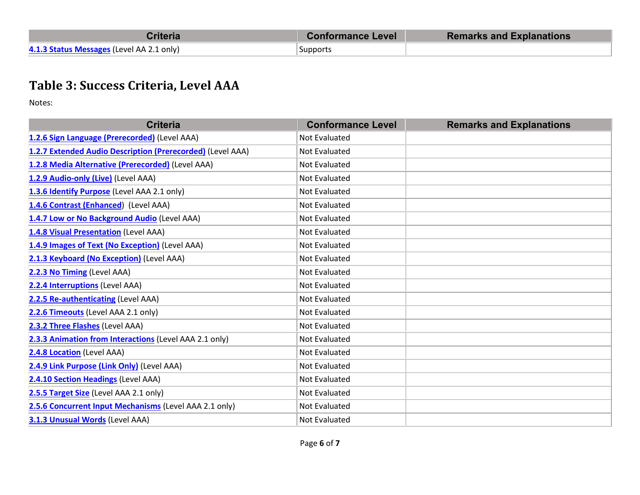| Criteria                                  | <b>Conformance Level</b> | <b>Remarks and Explanations</b> |
|-------------------------------------------|--------------------------|---------------------------------|
| 4.1.3 Status Messages (Level AA 2.1 only) | Supports                 |                                 |

#### **Table 3: Success Criteria, Level AAA**

Notes:

| <b>Criteria</b>                                            | <b>Conformance Level</b> | <b>Remarks and Explanations</b> |
|------------------------------------------------------------|--------------------------|---------------------------------|
| 1.2.6 Sign Language (Prerecorded) (Level AAA)              | <b>Not Evaluated</b>     |                                 |
| 1.2.7 Extended Audio Description (Prerecorded) (Level AAA) | <b>Not Evaluated</b>     |                                 |
| 1.2.8 Media Alternative (Prerecorded) (Level AAA)          | Not Evaluated            |                                 |
| 1.2.9 Audio-only (Live) (Level AAA)                        | <b>Not Evaluated</b>     |                                 |
| 1.3.6 Identify Purpose (Level AAA 2.1 only)                | Not Evaluated            |                                 |
| 1.4.6 Contrast (Enhanced) (Level AAA)                      | <b>Not Evaluated</b>     |                                 |
| 1.4.7 Low or No Background Audio (Level AAA)               | <b>Not Evaluated</b>     |                                 |
| 1.4.8 Visual Presentation (Level AAA)                      | <b>Not Evaluated</b>     |                                 |
| 1.4.9 Images of Text (No Exception) (Level AAA)            | <b>Not Evaluated</b>     |                                 |
| 2.1.3 Keyboard (No Exception) (Level AAA)                  | <b>Not Evaluated</b>     |                                 |
| 2.2.3 No Timing (Level AAA)                                | <b>Not Evaluated</b>     |                                 |
| 2.2.4 Interruptions (Level AAA)                            | <b>Not Evaluated</b>     |                                 |
| 2.2.5 Re-authenticating (Level AAA)                        | Not Evaluated            |                                 |
| 2.2.6 Timeouts (Level AAA 2.1 only)                        | <b>Not Evaluated</b>     |                                 |
| 2.3.2 Three Flashes (Level AAA)                            | <b>Not Evaluated</b>     |                                 |
| 2.3.3 Animation from Interactions (Level AAA 2.1 only)     | <b>Not Evaluated</b>     |                                 |
| 2.4.8 Location (Level AAA)                                 | <b>Not Evaluated</b>     |                                 |
| 2.4.9 Link Purpose (Link Only) (Level AAA)                 | Not Evaluated            |                                 |
| 2.4.10 Section Headings (Level AAA)                        | <b>Not Evaluated</b>     |                                 |
| 2.5.5 Target Size (Level AAA 2.1 only)                     | <b>Not Evaluated</b>     |                                 |
| 2.5.6 Concurrent Input Mechanisms (Level AAA 2.1 only)     | Not Evaluated            |                                 |
| 3.1.3 Unusual Words (Level AAA)                            | <b>Not Evaluated</b>     |                                 |